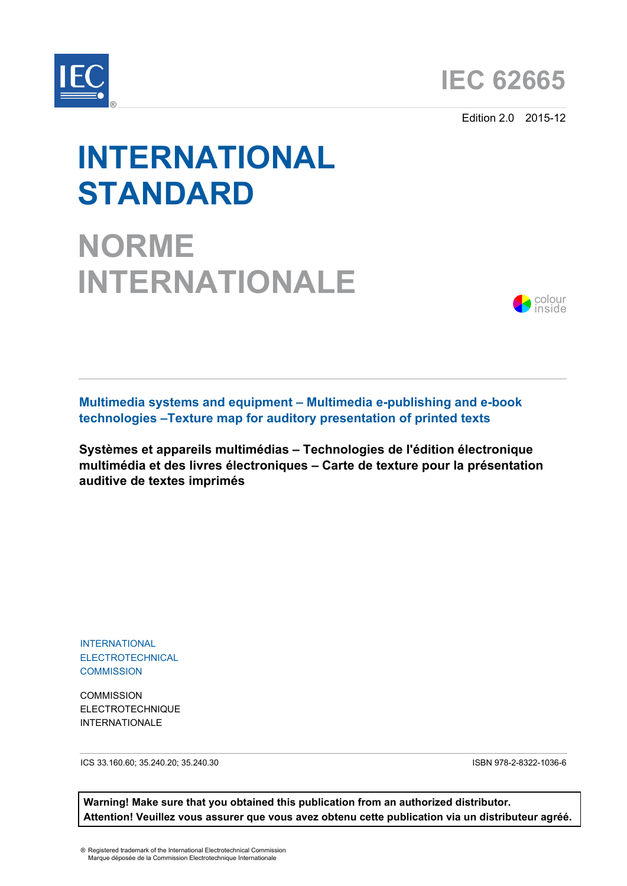

Edition 2.0 2015-12

# **INTERNATIONAL STANDARD**

# **NORME INTERNATIONALE**



**Multimedia systems and equipment – Multimedia e-publishing and e-book technologies –Texture map for auditory presentation of printed texts** 

**Systèmes et appareils multimédias – Technologies de l'édition électronique multimédia et des livres électroniques – Carte de texture pour la présentation auditive de textes imprimés**

INTERNATIONAL ELECTROTECHNICAL **COMMISSION** 

**COMMISSION** ELECTROTECHNIQUE INTERNATIONALE

ICS 33.160.60; 35.240.20; 35.240.30 ISBN 978-2-8322-1036-6

**Warning! Make sure that you obtained this publication from an authorized distributor. Attention! Veuillez vous assurer que vous avez obtenu cette publication via un distributeur agréé.**

® Registered trademark of the International Electrotechnical Commission Marque déposée de la Commission Electrotechnique Internationale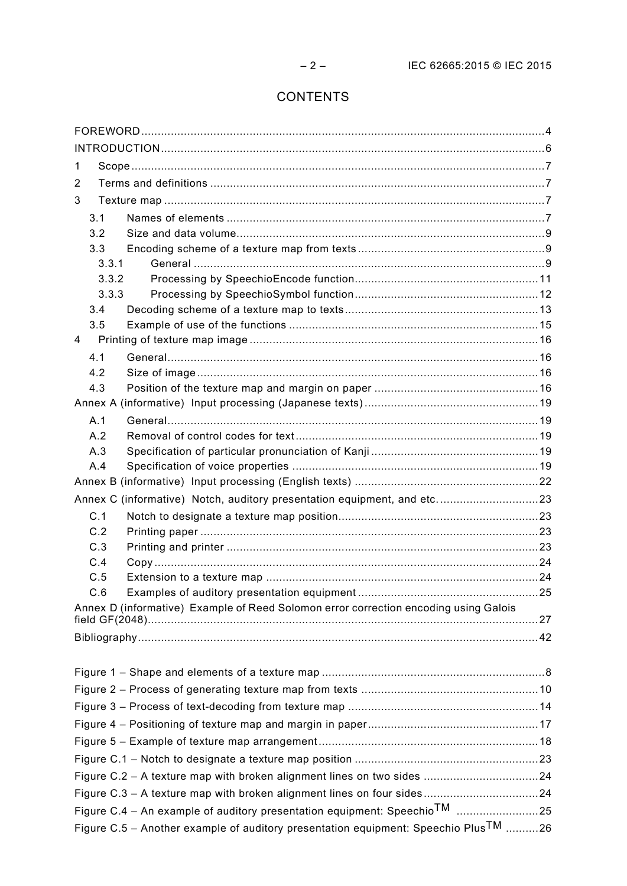# CONTENTS

| 1              |                                                                                                                                                                                          |  |
|----------------|------------------------------------------------------------------------------------------------------------------------------------------------------------------------------------------|--|
| $\overline{2}$ |                                                                                                                                                                                          |  |
| 3              |                                                                                                                                                                                          |  |
| 3.1            |                                                                                                                                                                                          |  |
| 3.2            |                                                                                                                                                                                          |  |
| 3.3            |                                                                                                                                                                                          |  |
| 3.3.1          |                                                                                                                                                                                          |  |
| 3.3.2          |                                                                                                                                                                                          |  |
| 3.3.3          |                                                                                                                                                                                          |  |
| 3.4            |                                                                                                                                                                                          |  |
| 3.5            |                                                                                                                                                                                          |  |
| $\overline{4}$ |                                                                                                                                                                                          |  |
| 4.1            |                                                                                                                                                                                          |  |
| 4.2            |                                                                                                                                                                                          |  |
| 4.3            |                                                                                                                                                                                          |  |
|                |                                                                                                                                                                                          |  |
| A.1            |                                                                                                                                                                                          |  |
| A.2            |                                                                                                                                                                                          |  |
| A.3            |                                                                                                                                                                                          |  |
| A.4            |                                                                                                                                                                                          |  |
|                |                                                                                                                                                                                          |  |
|                | Annex C (informative) Notch, auditory presentation equipment, and etc23                                                                                                                  |  |
| C.1            |                                                                                                                                                                                          |  |
| C.2            |                                                                                                                                                                                          |  |
| C.3            |                                                                                                                                                                                          |  |
| C.4            |                                                                                                                                                                                          |  |
| C.5            |                                                                                                                                                                                          |  |
| C.6            |                                                                                                                                                                                          |  |
|                | Annex D (informative) Example of Reed Solomon error correction encoding using Galois                                                                                                     |  |
|                |                                                                                                                                                                                          |  |
|                |                                                                                                                                                                                          |  |
|                |                                                                                                                                                                                          |  |
|                |                                                                                                                                                                                          |  |
|                |                                                                                                                                                                                          |  |
|                |                                                                                                                                                                                          |  |
|                |                                                                                                                                                                                          |  |
|                |                                                                                                                                                                                          |  |
|                |                                                                                                                                                                                          |  |
|                |                                                                                                                                                                                          |  |
|                | Figure C.2 - A texture map with broken alignment lines on two sides 24                                                                                                                   |  |
|                | Figure C.3 - A texture map with broken alignment lines on four sides24                                                                                                                   |  |
|                |                                                                                                                                                                                          |  |
|                | Figure C.4 – An example of auditory presentation equipment: Speechio <sup>TM</sup> 25<br>Figure C.5 - Another example of auditory presentation equipment: Speechio Plus <sup>TM</sup> 26 |  |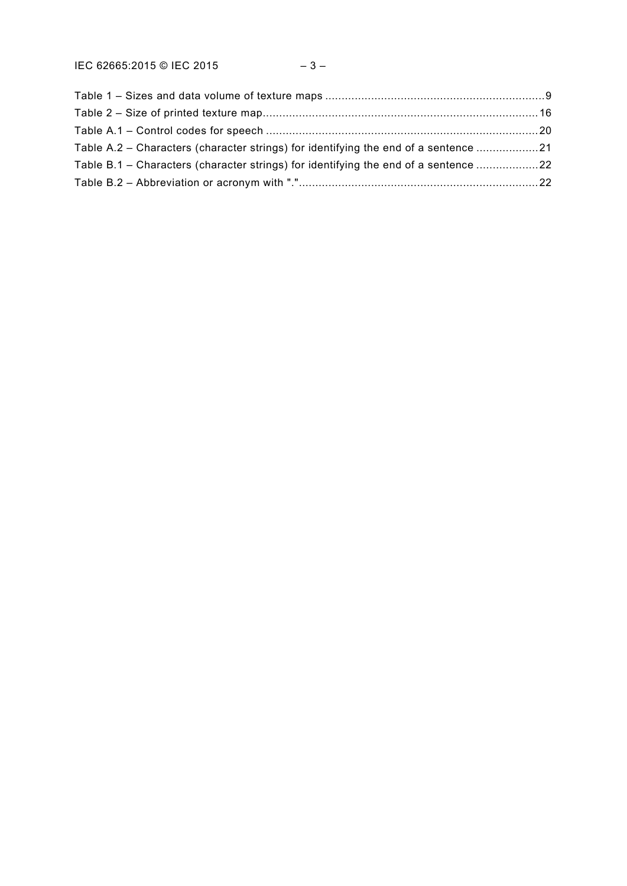| Table A.2 – Characters (character strings) for identifying the end of a sentence 21 |  |
|-------------------------------------------------------------------------------------|--|
| Table B.1 – Characters (character strings) for identifying the end of a sentence 22 |  |
|                                                                                     |  |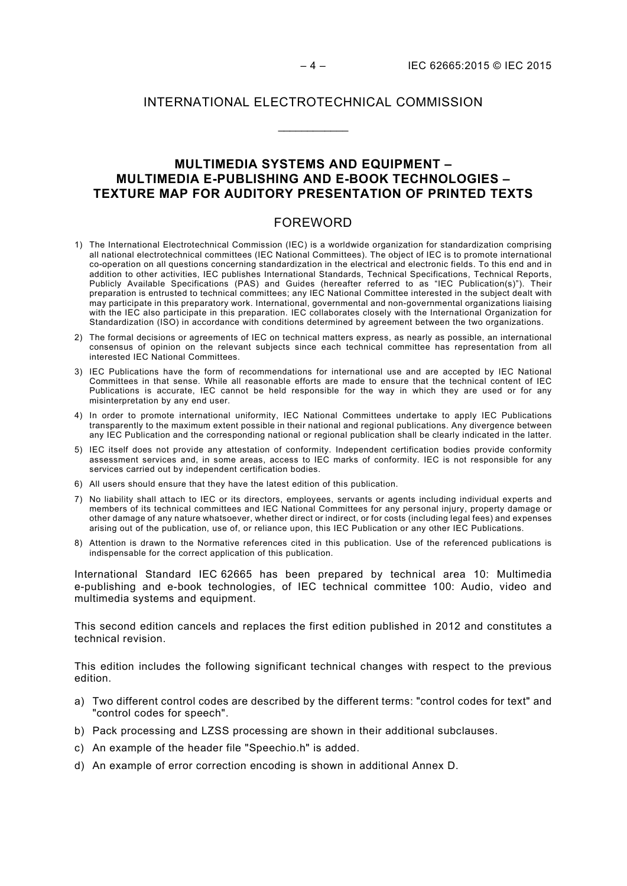#### INTERNATIONAL ELECTROTECHNICAL COMMISSION

\_\_\_\_\_\_\_\_\_\_\_\_

## **MULTIMEDIA SYSTEMS AND EQUIPMENT – MULTIMEDIA E-PUBLISHING AND E-BOOK TECHNOLOGIES – TEXTURE MAP FOR AUDITORY PRESENTATION OF PRINTED TEXTS**

#### FOREWORD

- <span id="page-3-0"></span>1) The International Electrotechnical Commission (IEC) is a worldwide organization for standardization comprising all national electrotechnical committees (IEC National Committees). The object of IEC is to promote international co-operation on all questions concerning standardization in the electrical and electronic fields. To this end and in addition to other activities, IEC publishes International Standards, Technical Specifications, Technical Reports, Publicly Available Specifications (PAS) and Guides (hereafter referred to as "IEC Publication(s)"). Their preparation is entrusted to technical committees; any IEC National Committee interested in the subject dealt with may participate in this preparatory work. International, governmental and non-governmental organizations liaising with the IEC also participate in this preparation. IEC collaborates closely with the International Organization for Standardization (ISO) in accordance with conditions determined by agreement between the two organizations.
- 2) The formal decisions or agreements of IEC on technical matters express, as nearly as possible, an international consensus of opinion on the relevant subjects since each technical committee has representation from all interested IEC National Committees.
- 3) IEC Publications have the form of recommendations for international use and are accepted by IEC National Committees in that sense. While all reasonable efforts are made to ensure that the technical content of IEC Publications is accurate, IEC cannot be held responsible for the way in which they are used or for any misinterpretation by any end user.
- 4) In order to promote international uniformity, IEC National Committees undertake to apply IEC Publications transparently to the maximum extent possible in their national and regional publications. Any divergence between any IEC Publication and the corresponding national or regional publication shall be clearly indicated in the latter.
- 5) IEC itself does not provide any attestation of conformity. Independent certification bodies provide conformity assessment services and, in some areas, access to IEC marks of conformity. IEC is not responsible for any services carried out by independent certification bodies.
- 6) All users should ensure that they have the latest edition of this publication.
- 7) No liability shall attach to IEC or its directors, employees, servants or agents including individual experts and members of its technical committees and IEC National Committees for any personal injury, property damage or other damage of any nature whatsoever, whether direct or indirect, or for costs (including legal fees) and expenses arising out of the publication, use of, or reliance upon, this IEC Publication or any other IEC Publications.
- 8) Attention is drawn to the Normative references cited in this publication. Use of the referenced publications is indispensable for the correct application of this publication.

International Standard IEC 62665 has been prepared by technical area 10: Multimedia e-publishing and e-book technologies, of IEC technical committee 100: Audio, video and multimedia systems and equipment.

This second edition cancels and replaces the first edition published in 2012 and constitutes a technical revision.

This edition includes the following significant technical changes with respect to the previous edition.

- a) Two different control codes are described by the different terms: "control codes for text" and "control codes for speech".
- b) Pack processing and LZSS processing are shown in their additional subclauses.
- c) An example of the header file "Speechio.h" is added.
- d) An example of error correction encoding is shown in additional Annex D.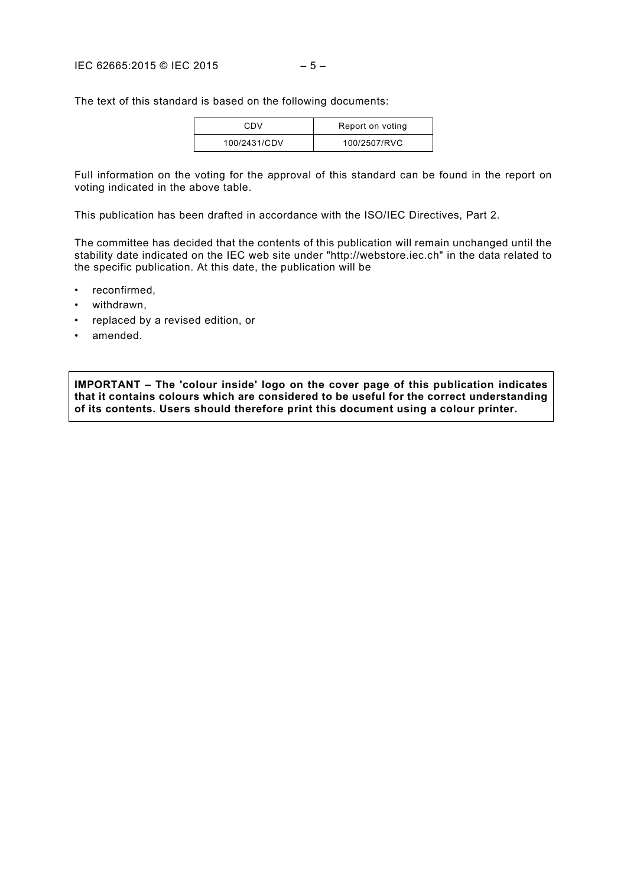The text of this standard is based on the following documents:

| CDV          | Report on voting |
|--------------|------------------|
| 100/2431/CDV | 100/2507/RVC     |

Full information on the voting for the approval of this standard can be found in the report on voting indicated in the above table.

This publication has been drafted in accordance with the ISO/IEC Directives, Part 2.

The committee has decided that the contents of this publication will remain unchanged until the stability date indicated on the IEC web site under "http://webstore.iec.ch" in the data related to the specific publication. At this date, the publication will be

- reconfirmed,
- withdrawn,
- replaced by a revised edition, or
- amended.

**IMPORTANT – The 'colour inside' logo on the cover page of this publication indicates that it contains colours which are considered to be useful for the correct understanding of its contents. Users should therefore print this document using a colour printer.**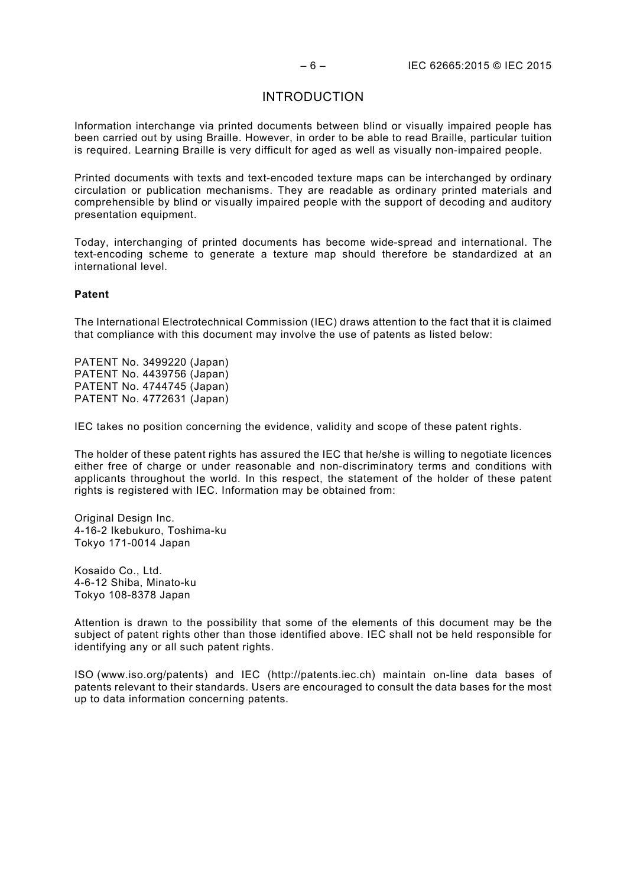#### INTRODUCTION

<span id="page-5-0"></span>Information interchange via printed documents between blind or visually impaired people has been carried out by using Braille. However, in order to be able to read Braille, particular tuition is required. Learning Braille is very difficult for aged as well as visually non-impaired people.

Printed documents with texts and text-encoded texture maps can be interchanged by ordinary circulation or publication mechanisms. They are readable as ordinary printed materials and comprehensible by blind or visually impaired people with the support of decoding and auditory presentation equipment.

Today, interchanging of printed documents has become wide-spread and international. The text-encoding scheme to generate a texture map should therefore be standardized at an international level.

#### **Patent**

The International Electrotechnical Commission (IEC) draws attention to the fact that it is claimed that compliance with this document may involve the use of patents as listed below:

PATENT No. 3499220 (Japan) PATENT No. 4439756 (Japan) PATENT No. 4744745 (Japan) PATENT No. 4772631 (Japan)

IEC takes no position concerning the evidence, validity and scope of these patent rights.

The holder of these patent rights has assured the IEC that he/she is willing to negotiate licences either free of charge or under reasonable and non-discriminatory terms and conditions with applicants throughout the world. In this respect, the statement of the holder of these patent rights is registered with IEC. Information may be obtained from:

Original Design Inc. 4-16-2 Ikebukuro, Toshima-ku Tokyo 171-0014 Japan

Kosaido Co., Ltd. 4-6-12 Shiba, Minato-ku Tokyo 108-8378 Japan

Attention is drawn to the possibility that some of the elements of this document may be the subject of patent rights other than those identified above. IEC shall not be held responsible for identifying any or all such patent rights.

ISO (www.iso.org/patents) and IEC (http://patents.iec.ch) maintain on-line data bases of patents relevant to their standards. Users are encouraged to consult the data bases for the most up to data information concerning patents.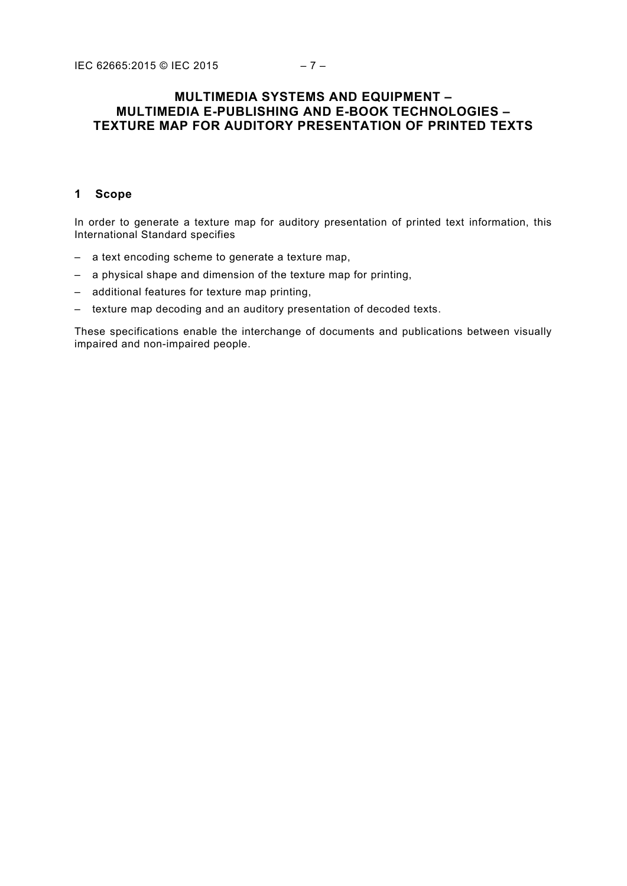## **MULTIMEDIA SYSTEMS AND EQUIPMENT – MULTIMEDIA E-PUBLISHING AND E-BOOK TECHNOLOGIES – TEXTURE MAP FOR AUDITORY PRESENTATION OF PRINTED TEXTS**

### <span id="page-6-0"></span>**1 Scope**

In order to generate a texture map for auditory presentation of printed text information, this International Standard specifies

- a text encoding scheme to generate a texture map,
- a physical shape and dimension of the texture map for printing,
- additional features for texture map printing,
- texture map decoding and an auditory presentation of decoded texts.

<span id="page-6-3"></span><span id="page-6-2"></span><span id="page-6-1"></span>These specifications enable the interchange of documents and publications between visually impaired and non-impaired people.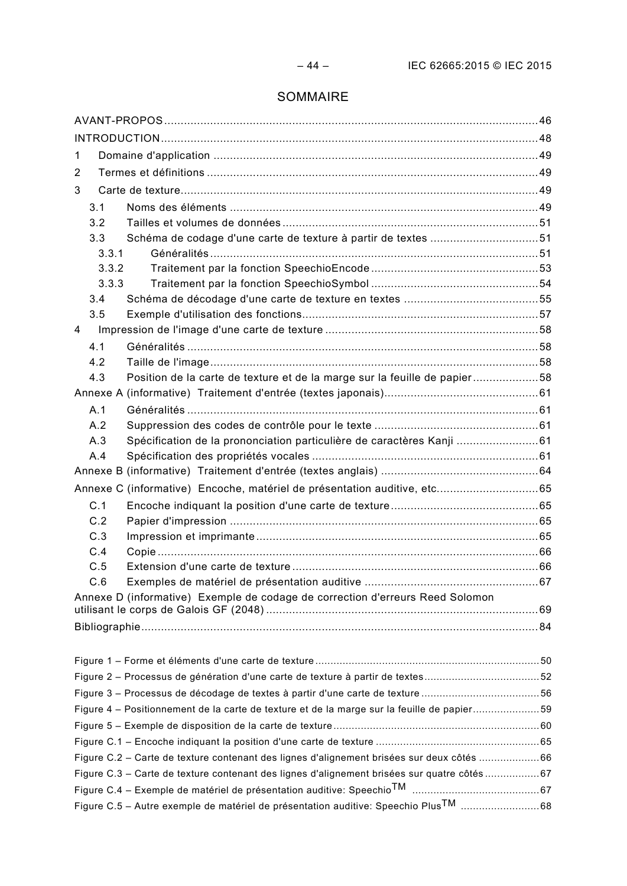# SOMMAIRE

| 1          |                                                                                                 |  |
|------------|-------------------------------------------------------------------------------------------------|--|
| 2          |                                                                                                 |  |
| 3          |                                                                                                 |  |
| 3.1        |                                                                                                 |  |
| 3.2        |                                                                                                 |  |
| 3.3        | Schéma de codage d'une carte de texture à partir de textes 51                                   |  |
| 3.3.1      |                                                                                                 |  |
| 3.3.2      |                                                                                                 |  |
| 3.3.3      |                                                                                                 |  |
| 3.4        |                                                                                                 |  |
| 3.5        |                                                                                                 |  |
| 4          |                                                                                                 |  |
| 4.1        |                                                                                                 |  |
| 4.2        |                                                                                                 |  |
| 4.3        | Position de la carte de texture et de la marge sur la feuille de papier58                       |  |
|            |                                                                                                 |  |
| A.1        |                                                                                                 |  |
| A.2        |                                                                                                 |  |
| A.3        | Spécification de la prononciation particulière de caractères Kanji 61                           |  |
| A.4        |                                                                                                 |  |
|            |                                                                                                 |  |
|            | Annexe C (informative) Encoche, matériel de présentation auditive, etc65                        |  |
| C.1        |                                                                                                 |  |
| C.2        |                                                                                                 |  |
| C.3        |                                                                                                 |  |
| C.4<br>C.5 |                                                                                                 |  |
| C.6        |                                                                                                 |  |
|            | Annexe D (informative) Exemple de codage de correction d'erreurs Reed Solomon                   |  |
|            |                                                                                                 |  |
|            |                                                                                                 |  |
|            |                                                                                                 |  |
|            |                                                                                                 |  |
|            | Figure 2 - Processus de génération d'une carte de texture à partir de textes52                  |  |
|            | Figure 3 – Processus de décodage de textes à partir d'une carte de texture 56                   |  |
|            | Figure 4 - Positionnement de la carte de texture et de la marge sur la feuille de papier59      |  |
|            |                                                                                                 |  |
|            |                                                                                                 |  |
|            | Figure C.2 - Carte de texture contenant des lignes d'alignement brisées sur deux côtés 66       |  |
|            | Figure C.3 - Carte de texture contenant des lignes d'alignement brisées sur quatre côtés67      |  |
|            |                                                                                                 |  |
|            | Figure C.5 - Autre exemple de matériel de présentation auditive: Speechio Plus <sup>TM</sup> 68 |  |
|            |                                                                                                 |  |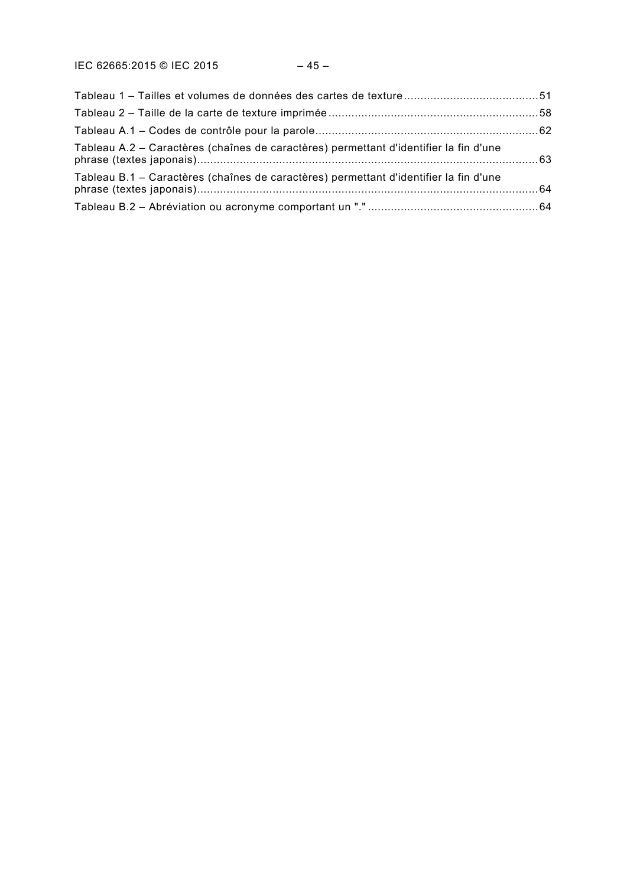| Tableau A.2 – Caractères (chaînes de caractères) permettant d'identifier la fin d'une |  |
|---------------------------------------------------------------------------------------|--|
| Tableau B.1 – Caractères (chaînes de caractères) permettant d'identifier la fin d'une |  |
|                                                                                       |  |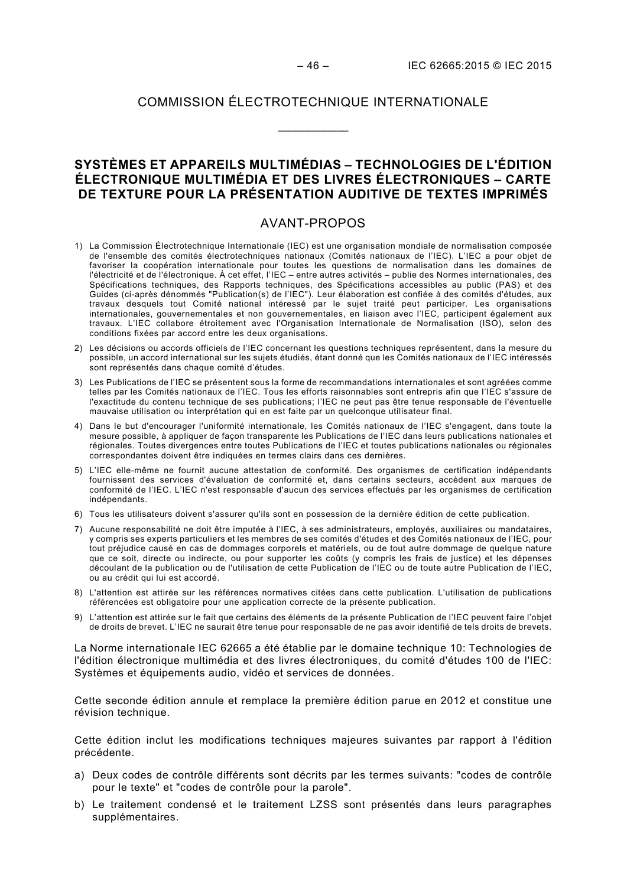### COMMISSION ÉLECTROTECHNIQUE INTERNATIONALE

\_\_\_\_\_\_\_\_\_\_\_\_

## **SYSTÈMES ET APPAREILS MULTIMÉDIAS – TECHNOLOGIES DE L'ÉDITION ÉLECTRONIQUE MULTIMÉDIA ET DES LIVRES ÉLECTRONIQUES – CARTE DE TEXTURE POUR LA PRÉSENTATION AUDITIVE DE TEXTES IMPRIMÉS**

#### AVANT-PROPOS

- <span id="page-9-0"></span>1) La Commission Électrotechnique Internationale (IEC) est une organisation mondiale de normalisation composée de l'ensemble des comités électrotechniques nationaux (Comités nationaux de l'IEC). L'IEC a pour objet de favoriser la coopération internationale pour toutes les questions de normalisation dans les domaines de l'électricité et de l'électronique. À cet effet, l'IEC – entre autres activités – publie des Normes internationales, des Spécifications techniques, des Rapports techniques, des Spécifications accessibles au public (PAS) et des Guides (ci-après dénommés "Publication(s) de l'IEC"). Leur élaboration est confiée à des comités d'études, aux travaux desquels tout Comité national intéressé par le sujet traité peut participer. Les organisations internationales, gouvernementales et non gouvernementales, en liaison avec l'IEC, participent également aux travaux. L'IEC collabore étroitement avec l'Organisation Internationale de Normalisation (ISO), selon des conditions fixées par accord entre les deux organisations.
- 2) Les décisions ou accords officiels de l'IEC concernant les questions techniques représentent, dans la mesure du possible, un accord international sur les sujets étudiés, étant donné que les Comités nationaux de l'IEC intéressés sont représentés dans chaque comité d'études.
- 3) Les Publications de l'IEC se présentent sous la forme de recommandations internationales et sont agréées comme telles par les Comités nationaux de l'IEC. Tous les efforts raisonnables sont entrepris afin que l'IEC s'assure de l'exactitude du contenu technique de ses publications; l'IEC ne peut pas être tenue responsable de l'éventuelle mauvaise utilisation ou interprétation qui en est faite par un quelconque utilisateur final.
- 4) Dans le but d'encourager l'uniformité internationale, les Comités nationaux de l'IEC s'engagent, dans toute la mesure possible, à appliquer de façon transparente les Publications de l'IEC dans leurs publications nationales et régionales. Toutes divergences entre toutes Publications de l'IEC et toutes publications nationales ou régionales correspondantes doivent être indiquées en termes clairs dans ces dernières.
- 5) L'IEC elle-même ne fournit aucune attestation de conformité. Des organismes de certification indépendants fournissent des services d'évaluation de conformité et, dans certains secteurs, accèdent aux marques de conformité de l'IEC. L'IEC n'est responsable d'aucun des services effectués par les organismes de certification indépendants.
- 6) Tous les utilisateurs doivent s'assurer qu'ils sont en possession de la dernière édition de cette publication.
- 7) Aucune responsabilité ne doit être imputée à l'IEC, à ses administrateurs, employés, auxiliaires ou mandataires, y compris ses experts particuliers et les membres de ses comités d'études et des Comités nationaux de l'IEC, pour tout préjudice causé en cas de dommages corporels et matériels, ou de tout autre dommage de quelque nature que ce soit, directe ou indirecte, ou pour supporter les coûts (y compris les frais de justice) et les dépenses découlant de la publication ou de l'utilisation de cette Publication de l'IEC ou de toute autre Publication de l'IEC, ou au crédit qui lui est accordé.
- 8) L'attention est attirée sur les références normatives citées dans cette publication. L'utilisation de publications référencées est obligatoire pour une application correcte de la présente publication.
- 9) L'attention est attirée sur le fait que certains des éléments de la présente Publication de l'IEC peuvent faire l'objet de droits de brevet. L'IEC ne saurait être tenue pour responsable de ne pas avoir identifié de tels droits de brevets.

La Norme internationale IEC 62665 a été établie par le domaine technique 10: Technologies de l'édition électronique multimédia et des livres électroniques, du comité d'études 100 de l'IEC: Systèmes et équipements audio, vidéo et services de données.

Cette seconde édition annule et remplace la première édition parue en 2012 et constitue une révision technique.

Cette édition inclut les modifications techniques majeures suivantes par rapport à l'édition précédente.

- a) Deux codes de contrôle différents sont décrits par les termes suivants: "codes de contrôle pour le texte" et "codes de contrôle pour la parole".
- b) Le traitement condensé et le traitement LZSS sont présentés dans leurs paragraphes supplémentaires.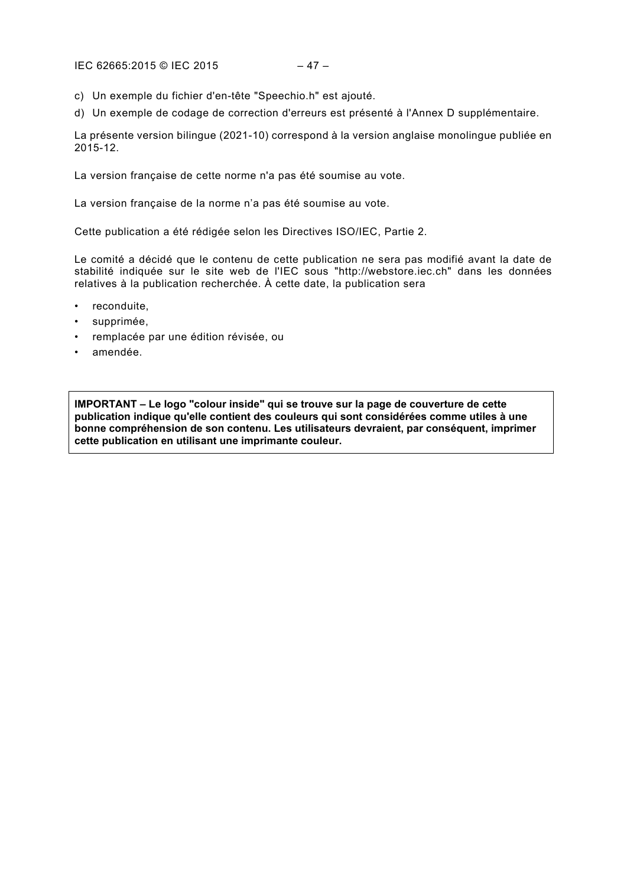- c) Un exemple du fichier d'en-tête "Speechio.h" est ajouté.
- d) Un exemple de codage de correction d'erreurs est présenté à l'Annex D supplémentaire.

La présente version bilingue (2021-10) correspond à la version anglaise monolingue publiée en 2015-12.

La version française de cette norme n'a pas été soumise au vote.

La version française de la norme n'a pas été soumise au vote.

Cette publication a été rédigée selon les Directives ISO/IEC, Partie 2.

Le comité a décidé que le contenu de cette publication ne sera pas modifié avant la date de stabilité indiquée sur le site web de l'IEC sous "http://webstore.iec.ch" dans les données relatives à la publication recherchée. À cette date, la publication sera

- reconduite,
- supprimée,
- remplacée par une édition révisée, ou
- amendée.

**IMPORTANT – Le logo "colour inside" qui se trouve sur la page de couverture de cette publication indique qu'elle contient des couleurs qui sont considérées comme utiles à une bonne compréhension de son contenu. Les utilisateurs devraient, par conséquent, imprimer cette publication en utilisant une imprimante couleur.**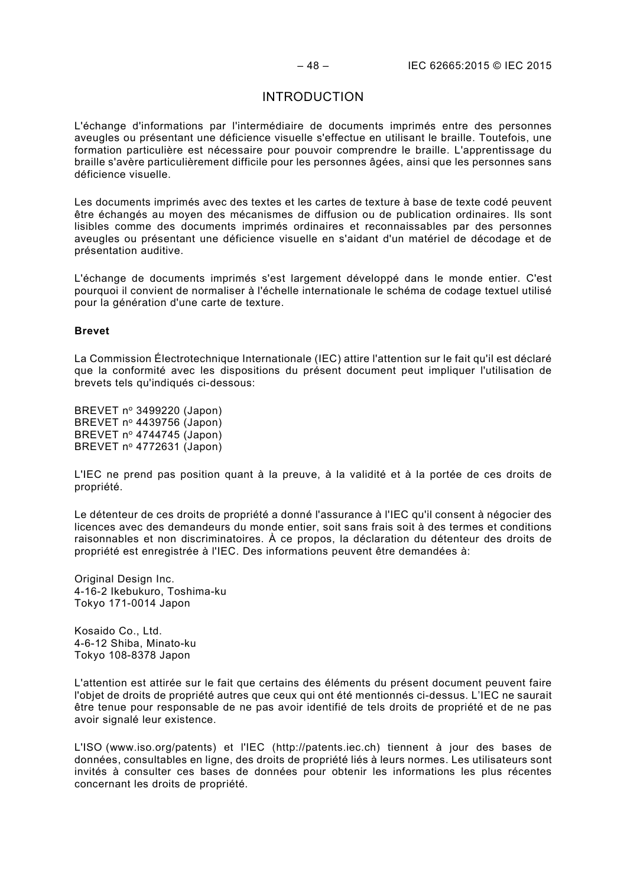#### INTRODUCTION

<span id="page-11-0"></span>L'échange d'informations par l'intermédiaire de documents imprimés entre des personnes aveugles ou présentant une déficience visuelle s'effectue en utilisant le braille. Toutefois, une formation particulière est nécessaire pour pouvoir comprendre le braille. L'apprentissage du braille s'avère particulièrement difficile pour les personnes âgées, ainsi que les personnes sans déficience visuelle.

Les documents imprimés avec des textes et les cartes de texture à base de texte codé peuvent être échangés au moyen des mécanismes de diffusion ou de publication ordinaires. Ils sont lisibles comme des documents imprimés ordinaires et reconnaissables par des personnes aveugles ou présentant une déficience visuelle en s'aidant d'un matériel de décodage et de présentation auditive.

L'échange de documents imprimés s'est largement développé dans le monde entier. C'est pourquoi il convient de normaliser à l'échelle internationale le schéma de codage textuel utilisé pour la génération d'une carte de texture.

#### **Brevet**

La Commission Électrotechnique Internationale (IEC) attire l'attention sur le fait qu'il est déclaré que la conformité avec les dispositions du présent document peut impliquer l'utilisation de brevets tels qu'indiqués ci-dessous:

BREVET no 3499220 (Japon) BREVET no 4439756 (Japon) BREVET no 4744745 (Japon) BREVET no 4772631 (Japon)

L'IEC ne prend pas position quant à la preuve, à la validité et à la portée de ces droits de propriété.

Le détenteur de ces droits de propriété a donné l'assurance à l'IEC qu'il consent à négocier des licences avec des demandeurs du monde entier, soit sans frais soit à des termes et conditions raisonnables et non discriminatoires. À ce propos, la déclaration du détenteur des droits de propriété est enregistrée à l'IEC. Des informations peuvent être demandées à:

Original Design Inc. 4-16-2 Ikebukuro, Toshima-ku Tokyo 171-0014 Japon

Kosaido Co., Ltd. 4-6-12 Shiba, Minato-ku Tokyo 108-8378 Japon

L'attention est attirée sur le fait que certains des éléments du présent document peuvent faire l'objet de droits de propriété autres que ceux qui ont été mentionnés ci-dessus. L'IEC ne saurait être tenue pour responsable de ne pas avoir identifié de tels droits de propriété et de ne pas avoir signalé leur existence.

L'ISO (www.iso.org/patents) et l'IEC (http://patents.iec.ch) tiennent à jour des bases de données, consultables en ligne, des droits de propriété liés à leurs normes. Les utilisateurs sont invités à consulter ces bases de données pour obtenir les informations les plus récentes concernant les droits de propriété.